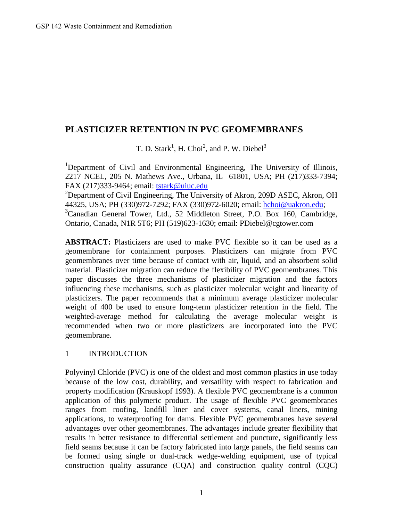# **PLASTICIZER RETENTION IN PVC GEOMEMBRANES**

T. D. Stark<sup>1</sup>, H. Choi<sup>2</sup>, and P. W. Diebel<sup>3</sup>

<sup>1</sup>Department of Civil and Environmental Engineering, The University of Illinois, 2217 NCEL, 205 N. Mathews Ave., Urbana, IL 61801, USA; PH (217)333-7394; FAX (217)333-9464; email: [tstark@uiuc.edu](mailto:tstark@uiuc.edu)

<sup>2</sup>Department of Civil Engineering, The University of Akron, 209D ASEC, Akron, OH 44325, USA; PH (330)972-7292; FAX (330)972-6020; email: [hchoi@uakron.edu](mailto:hchoi@uakron.edu); <sup>3</sup>Canadian General Tower, Ltd., 52 Middleton Street, P.O. Box 160, Cambridge, Ontario, Canada, N1R 5T6; PH (519)623-1630; email: PDiebel@cgtower.com

**ABSTRACT:** Plasticizers are used to make PVC flexible so it can be used as a geomembrane for containment purposes. Plasticizers can migrate from PVC geomembranes over time because of contact with air, liquid, and an absorbent solid material. Plasticizer migration can reduce the flexibility of PVC geomembranes. This paper discusses the three mechanisms of plasticizer migration and the factors influencing these mechanisms, such as plasticizer molecular weight and linearity of plasticizers. The paper recommends that a minimum average plasticizer molecular weight of 400 be used to ensure long-term plasticizer retention in the field. The weighted-average method for calculating the average molecular weight is recommended when two or more plasticizers are incorporated into the PVC geomembrane.

## 1 INTRODUCTION

Polyvinyl Chloride (PVC) is one of the oldest and most common plastics in use today because of the low cost, durability, and versatility with respect to fabrication and property modification (Krauskopf 1993). A flexible PVC geomembrane is a common application of this polymeric product. The usage of flexible PVC geomembranes ranges from roofing, landfill liner and cover systems, canal liners, mining applications, to waterproofing for dams. Flexible PVC geomembranes have several advantages over other geomembranes. The advantages include greater flexibility that results in better resistance to differential settlement and puncture, significantly less field seams because it can be factory fabricated into large panels, the field seams can be formed using single or dual-track wedge-welding equipment, use of typical construction quality assurance (CQA) and construction quality control (CQC)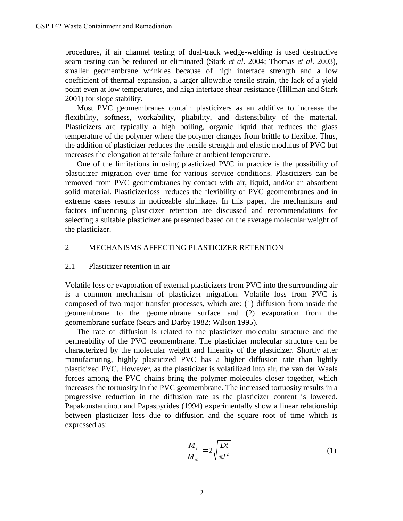procedures, if air channel testing of dual-track wedge-welding is used destructive seam testing can be reduced or eliminated (Stark *et al*. 2004; Thomas *et al*. 2003), smaller geomembrane wrinkles because of high interface strength and a low coefficient of thermal expansion, a larger allowable tensile strain, the lack of a yield point even at low temperatures, and high interface shear resistance (Hillman and Stark 2001) for slope stability.

Most PVC geomembranes contain plasticizers as an additive to increase the flexibility, softness, workability, pliability, and distensibility of the material. Plasticizers are typically a high boiling, organic liquid that reduces the glass temperature of the polymer where the polymer changes from brittle to flexible. Thus, the addition of plasticizer reduces the tensile strength and elastic modulus of PVC but increases the elongation at tensile failure at ambient temperature.

One of the limitations in using plasticized PVC in practice is the possibility of plasticizer migration over time for various service conditions. Plasticizers can be removed from PVC geomembranes by contact with air, liquid, and/or an absorbent solid material. Plasticizer loss reduces the flexibility of PVC geomembranes and in extreme cases results in noticeable shrinkage. In this paper, the mechanisms and factors influencing plasticizer retention are discussed and recommendations for selecting a suitable plasticizer are presented based on the average molecular weight of the plasticizer.

### 2 MECHANISMS AFFECTING PLASTICIZER RETENTION

### 2.1 Plasticizer retention in air

Volatile loss or evaporation of external plasticizers from PVC into the surrounding air is a common mechanism of plasticizer migration. Volatile loss from PVC is composed of two major transfer processes, which are: (1) diffusion from inside the geomembrane to the geomembrane surface and (2) evaporation from the geomembrane surface (Sears and Darby 1982; Wilson 1995).

The rate of diffusion is related to the plasticizer molecular structure and the permeability of the PVC geomembrane. The plasticizer molecular structure can be characterized by the molecular weight and linearity of the plasticizer. Shortly after manufacturing, highly plasticized PVC has a higher diffusion rate than lightly plasticized PVC. However, as the plasticizer is volatilized into air, the van der Waals forces among the PVC chains bring the polymer molecules closer together, which increases the tortuosity in the PVC geomembrane. The increased tortuosity results in a progressive reduction in the diffusion rate as the plasticizer content is lowered. Papakonstantinou and Papaspyrides (1994) experimentally show a linear relationship between plasticizer loss due to diffusion and the square root of time which is expressed as:

$$
\frac{M_t}{M_\infty} = 2\sqrt{\frac{Dt}{\pi l^2}}\tag{1}
$$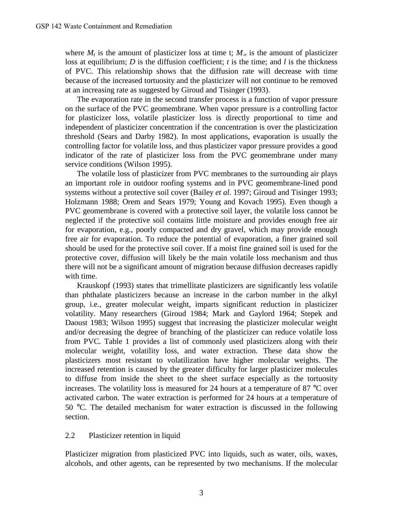where  $M_t$  is the amount of plasticizer loss at time t;  $M_\infty$  is the amount of plasticizer loss at equilibrium; *D* is the diffusion coefficient; *t* is the time; and *l* is the thickness of PVC. This relationship shows that the diffusion rate will decrease with time because of the increased tortuosity and the plasticizer will not continue to be removed at an increasing rate as suggested by Giroud and Tisinger (1993).

The evaporation rate in the second transfer process is a function of vapor pressure on the surface of the PVC geomembrane. When vapor pressure is a controlling factor for plasticizer loss, volatile plasticizer loss is directly proportional to time and independent of plasticizer concentration if the concentration is over the plasticization threshold (Sears and Darby 1982). In most applications, evaporation is usually the controlling factor for volatile loss, and thus plasticizer vapor pressure provides a good indicator of the rate of plasticizer loss from the PVC geomembrane under many service conditions (Wilson 1995).

The volatile loss of plasticizer from PVC membranes to the surrounding air plays an important role in outdoor roofing systems and in PVC geomembrane-lined pond systems without a protective soil cover (Bailey *et al*. 1997; Giroud and Tisinger 1993; Holzmann 1988; Orem and Sears 1979; Young and Kovach 1995). Even though a PVC geomembrane is covered with a protective soil layer, the volatile loss cannot be neglected if the protective soil contains little moisture and provides enough free air for evaporation, e.g., poorly compacted and dry gravel, which may provide enough free air for evaporation. To reduce the potential of evaporation, a finer grained soil should be used for the protective soil cover. If a moist fine grained soil is used for the protective cover, diffusion will likely be the main volatile loss mechanism and thus there will not be a significant amount of migration because diffusion decreases rapidly with time.

Krauskopf (1993) states that trimellitate plasticizers are significantly less volatile than phthalate plasticizers because an increase in the carbon number in the alkyl group, i.e., greater molecular weight, imparts significant reduction in plasticizer volatility. Many researchers (Giroud 1984; Mark and Gaylord 1964; Stepek and Daoust 1983; Wilson 1995) suggest that increasing the plasticizer molecular weight and/or decreasing the degree of branching of the plasticizer can reduce volatile loss from PVC. Table 1 provides a list of commonly used plasticizers along with their molecular weight, volatility loss, and water extraction. These data show the plasticizers most resistant to volatilization have higher molecular weights. The increased retention is caused by the greater difficulty for larger plasticizer molecules to diffuse from inside the sheet to the sheet surface especially as the tortuosity increases. The volatility loss is measured for 24 hours at a temperature of 87 °C over activated carbon. The water extraction is performed for 24 hours at a temperature of 50 °C. The detailed mechanism for water extraction is discussed in the following section.

### 2.2 Plasticizer retention in liquid

Plasticizer migration from plasticized PVC into liquids, such as water, oils, waxes, alcohols, and other agents, can be represented by two mechanisms. If the molecular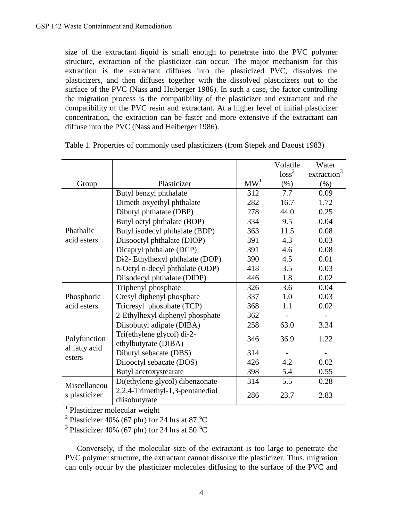size of the extractant liquid is small enough to penetrate into the PVC polymer structure, extraction of the plasticizer can occur. The major mechanism for this extraction is the extractant diffuses into the plasticized PVC, dissolves the plasticizers, and then diffuses together with the dissolved plasticizers out to the surface of the PVC (Nass and Heiberger 1986). In such a case, the factor controlling the migration process is the compatibility of the plasticizer and extractant and the compatibility of the PVC resin and extractant. At a higher level of initial plasticizer concentration, the extraction can be faster and more extensive if the extractant can diffuse into the PVC (Nass and Heiberger 1986).

|                                         |                                              |                 | Volatile          | Water                   |
|-----------------------------------------|----------------------------------------------|-----------------|-------------------|-------------------------|
|                                         |                                              |                 | loss <sup>2</sup> | extraction <sup>3</sup> |
| Group                                   | Plasticizer                                  | MW <sup>1</sup> | (% )              | (% )                    |
| Phathalic<br>acid esters                | Butyl benzyl phthalate                       | 312             | 7.7               | 0.09                    |
|                                         | Dimeth oxyethyl phthalate                    | 282             | 16.7              | 1.72                    |
|                                         | Dibutyl phthatate (DBP)                      | 278             | 44.0              | 0.25                    |
|                                         | Butyl octyl phthalate (BOP)                  | 334             | 9.5               | 0.04                    |
|                                         | Butyl isodecyl phthalate (BDP)               | 363             | 11.5              | 0.08                    |
|                                         | Diisooctyl phthalate (DIOP)                  | 391             | 4.3               | 0.03                    |
|                                         | Dicapryl phthalate (DCP)                     | 391             | 4.6               | 0.08                    |
|                                         | Di <sub>2</sub> - Ethylhexyl phthalate (DOP) | 390             | 4.5               | 0.01                    |
|                                         | n-Octyl n-decyl phthalate (ODP)              | 418             | 3.5               | 0.03                    |
|                                         | Diisodecyl phthalate (DIDP)                  | 446             | 1.8               | 0.02                    |
| Phosphoric<br>acid esters               | Triphenyl phosphate                          | 326             | 3.6               | 0.04                    |
|                                         | Cresyl diphenyl phosphate                    | 337             | 1.0               | 0.03                    |
|                                         | Tricresyl phosphate (TCP)                    | 368             | 1.1               | 0.02                    |
|                                         | 2-Ethylhexyl diphenyl phosphate              | 362             |                   |                         |
| Polyfunction<br>al fatty acid<br>esters | Diisobutyl adipate (DIBA)                    | 258             | 63.0              | 3.34                    |
|                                         | Tri(ethylene glycol) di-2-                   | 346             | 36.9              | 1.22                    |
|                                         | ethylbutyrate (DIBA)                         |                 |                   |                         |
|                                         | Dibutyl sebacate (DBS)                       | 314             |                   |                         |
|                                         | Diiooctyl sebacate (DOS)                     | 426             | 4.2               | 0.02                    |
|                                         | Butyl acetoxystearate                        | 398             | 5.4               | 0.55                    |
| Miscellaneou<br>s plasticizer           | Di(ethylene glycol) dibenzonate              | 314             | 5.5               | 0.28                    |
|                                         | 2,2,4-Trimethyl-1,3-pentanediol              | 286             | 23.7              | 2.83                    |
|                                         | diisobutyrate                                |                 |                   |                         |

Table 1. Properties of commonly used plasticizers (from Stepek and Daoust 1983)

<sup>1</sup> Plasticizer molecular weight

<sup>2</sup> Plasticizer 40% (67 phr) for 24 hrs at 87 °C

<sup>3</sup> Plasticizer 40% (67 phr) for 24 hrs at 50  $^{\circ}$ C

Conversely, if the molecular size of the extractant is too large to penetrate the PVC polymer structure, the extractant cannot dissolve the plasticizer. Thus, migration can only occur by the plasticizer molecules diffusing to the surface of the PVC and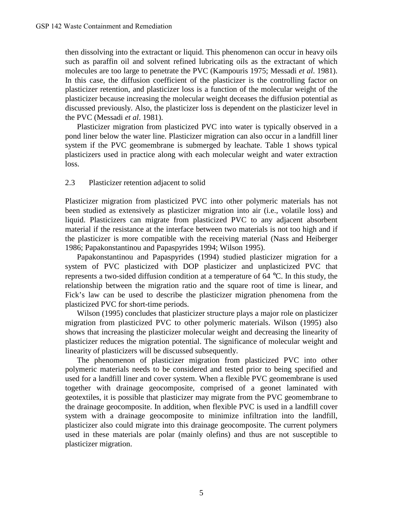then dissolving into the extractant or liquid. This phenomenon can occur in heavy oils such as paraffin oil and solvent refined lubricating oils as the extractant of which molecules are too large to penetrate the PVC (Kampouris 1975; Messadi *et al*. 1981). In this case, the diffusion coefficient of the plasticizer is the controlling factor on plasticizer retention, and plasticizer loss is a function of the molecular weight of the plasticizer because increasing the molecular weight deceases the diffusion potential as discussed previously. Also, the plasticizer loss is dependent on the plasticizer level in the PVC (Messadi *et al*. 1981).

Plasticizer migration from plasticized PVC into water is typically observed in a pond liner below the water line. Plasticizer migration can also occur in a landfill liner system if the PVC geomembrane is submerged by leachate. Table 1 shows typical plasticizers used in practice along with each molecular weight and water extraction loss.

### 2.3 Plasticizer retention adjacent to solid

Plasticizer migration from plasticized PVC into other polymeric materials has not been studied as extensively as plasticizer migration into air (i.e., volatile loss) and liquid. Plasticizers can migrate from plasticized PVC to any adjacent absorbent material if the resistance at the interface between two materials is not too high and if the plasticizer is more compatible with the receiving material (Nass and Heiberger 1986; Papakonstantinou and Papaspyrides 1994; Wilson 1995).

Papakonstantinou and Papaspyrides (1994) studied plasticizer migration for a system of PVC plasticized with DOP plasticizer and unplasticized PVC that represents a two-sided diffusion condition at a temperature of 64 °C. In this study, the relationship between the migration ratio and the square root of time is linear, and Fick's law can be used to describe the plasticizer migration phenomena from the plasticized PVC for short-time periods.

Wilson (1995) concludes that plasticizer structure plays a major role on plasticizer migration from plasticized PVC to other polymeric materials. Wilson (1995) also shows that increasing the plasticizer molecular weight and decreasing the linearity of plasticizer reduces the migration potential. The significance of molecular weight and linearity of plasticizers will be discussed subsequently.

The phenomenon of plasticizer migration from plasticized PVC into other polymeric materials needs to be considered and tested prior to being specified and used for a landfill liner and cover system. When a flexible PVC geomembrane is used together with drainage geocomposite, comprised of a geonet laminated with geotextiles, it is possible that plasticizer may migrate from the PVC geomembrane to the drainage geocomposite. In addition, when flexible PVC is used in a landfill cover system with a drainage geocomposite to minimize infiltration into the landfill, plasticizer also could migrate into this drainage geocomposite. The current polymers used in these materials are polar (mainly olefins) and thus are not susceptible to plasticizer migration.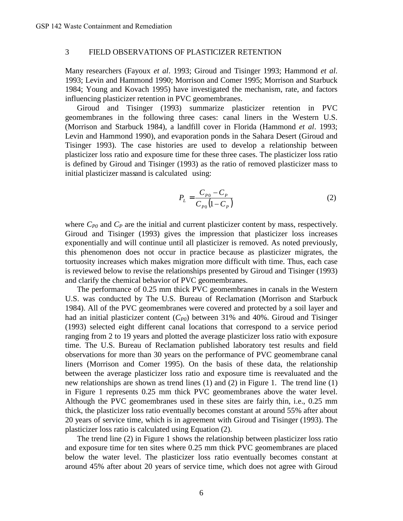### 3 FIELD OBSERVATIONS OF PLASTICIZER RETENTION

Many researchers (Fayoux *et al*. 1993; Giroud and Tisinger 1993; Hammond *et al*. 1993; Levin and Hammond 1990; Morrison and Comer 1995; Morrison and Starbuck 1984; Young and Kovach 1995) have investigated the mechanism, rate, and factors influencing plasticizer retention in PVC geomembranes.

Giroud and Tisinger (1993) summarize plasticizer retention in PVC geomembranes in the following three cases: canal liners in the Western U.S. (Morrison and Starbuck 1984), a landfill cover in Florida (Hammond *et al*. 1993; Levin and Hammond 1990), and evaporation ponds in the Sahara Desert (Giroud and Tisinger 1993). The case histories are used to develop a relationship between plasticizer loss ratio and exposure time for these three cases. The plasticizer loss ratio is defined by Giroud and Tisinger (1993) as the ratio of removed plasticizer mass to initial plasticizer massand is calculated using:

$$
P_{L} = \frac{C_{P0} - C_{P}}{C_{P0} (1 - C_{P})}
$$
 (2)

where  $C_{P0}$  and  $C_P$  are the initial and current plasticizer content by mass, respectively. Giroud and Tisinger (1993) gives the impression that plasticizer loss increases exponentially and will continue until all plasticizer is removed. As noted previously, this phenomenon does not occur in practice because as plasticizer migrates, the tortuosity increases which makes migration more difficult with time. Thus, each case is reviewed below to revise the relationships presented by Giroud and Tisinger (1993) and clarify the chemical behavior of PVC geomembranes.

The performance of 0.25 mm thick PVC geomembranes in canals in the Western U.S. was conducted by The U.S. Bureau of Reclamation (Morrison and Starbuck 1984). All of the PVC geomembranes were covered and protected by a soil layer and had an initial plasticizer content (*CP0*) between 31% and 40%. Giroud and Tisinger (1993) selected eight different canal locations that correspond to a service period ranging from 2 to 19 years and plotted the average plasticizer loss ratio with exposure time. The U.S. Bureau of Reclamation published laboratory test results and field observations for more than 30 years on the performance of PVC geomembrane canal liners (Morrison and Comer 1995). On the basis of these data, the relationship between the average plasticizer loss ratio and exposure time is reevaluated and the new relationships are shown as trend lines (1) and (2) in Figure 1. The trend line (1) in Figure 1 represents 0.25 mm thick PVC geomembranes above the water level. Although the PVC geomembranes used in these sites are fairly thin, i.e., 0.25 mm thick, the plasticizer loss ratio eventually becomes constant at around 55% after about 20 years of service time, which is in agreement with Giroud and Tisinger (1993). The plasticizer loss ratio is calculated using Equation (2).

The trend line (2) in Figure 1 shows the relationship between plasticizer loss ratio and exposure time for ten sites where 0.25 mm thick PVC geomembranes are placed below the water level. The plasticizer loss ratio eventually becomes constant at around 45% after about 20 years of service time, which does not agree with Giroud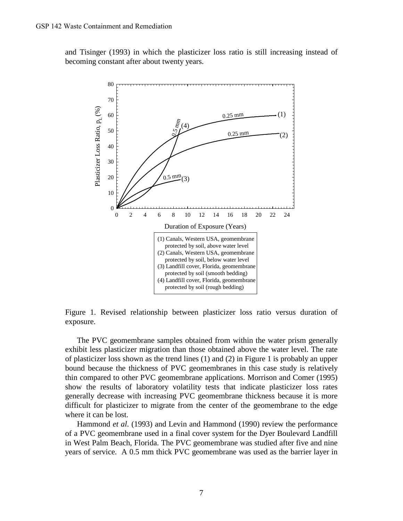and Tisinger (1993) in which the plasticizer loss ratio is still increasing instead of becoming constant after about twenty years.



Figure 1. Revised relationship between plasticizer loss ratio versus duration of exposure.

The PVC geomembrane samples obtained from within the water prism generally exhibit less plasticizer migration than those obtained above the water level. The rate of plasticizer loss shown as the trend lines (1) and (2) in Figure 1 is probably an upper bound because the thickness of PVC geomembranes in this case study is relatively thin compared to other PVC geomembrane applications. Morrison and Comer (1995) show the results of laboratory volatility tests that indicate plasticizer loss rates generally decrease with increasing PVC geomembrane thickness because it is more difficult for plasticizer to migrate from the center of the geomembrane to the edge where it can be lost.

Hammond *et al*. (1993) and Levin and Hammond (1990) review the performance of a PVC geomembrane used in a final cover system for the Dyer Boulevard Landfill in West Palm Beach, Florida. The PVC geomembrane was studied after five and nine years of service. A 0.5 mm thick PVC geomembrane was used as the barrier layer in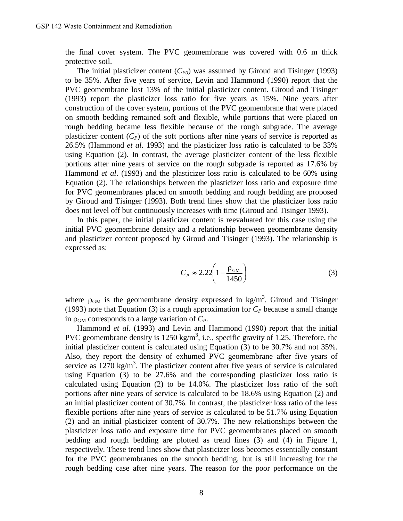the final cover system. The PVC geomembrane was covered with 0.6 m thick protective soil.

The initial plasticizer content  $(C_{P0})$  was assumed by Giroud and Tisinger (1993) to be 35%. After five years of service, Levin and Hammond (1990) report that the PVC geomembrane lost 13% of the initial plasticizer content. Giroud and Tisinger (1993) report the plasticizer loss ratio for five years as 15%. Nine years after construction of the cover system, portions of the PVC geomembrane that were placed on smooth bedding remained soft and flexible, while portions that were placed on rough bedding became less flexible because of the rough subgrade. The average plasticizer content  $(C_P)$  of the soft portions after nine years of service is reported as 26.5% (Hammond *et al*. 1993) and the plasticizer loss ratio is calculated to be 33% using Equation (2). In contrast, the average plasticizer content of the less flexible portions after nine years of service on the rough subgrade is reported as 17.6% by Hammond *et al*. (1993) and the plasticizer loss ratio is calculated to be 60% using Equation (2). The relationships between the plasticizer loss ratio and exposure time for PVC geomembranes placed on smooth bedding and rough bedding are proposed by Giroud and Tisinger (1993). Both trend lines show that the plasticizer loss ratio does not level off but continuously increases with time (Giroud and Tisinger 1993).

In this paper, the initial plasticizer content is reevaluated for this case using the initial PVC geomembrane density and a relationship between geomembrane density and plasticizer content proposed by Giroud and Tisinger (1993). The relationship is expressed as:

$$
C_P \approx 2.22 \left( 1 - \frac{\rho_{\text{GM}}}{1450} \right) \tag{3}
$$

where  $\rho_{GM}$  is the geomembrane density expressed in kg/m<sup>3</sup>. Giroud and Tisinger (1993) note that Equation (3) is a rough approximation for  $C_P$  because a small change in  $\rho_{\rm GM}$  corresponds to a large variation of  $C_P$ .

Hammond *et al*. (1993) and Levin and Hammond (1990) report that the initial PVC geomembrane density is 1250 kg/m<sup>3</sup>, i.e., specific gravity of 1.25. Therefore, the initial plasticizer content is calculated using Equation (3) to be 30.7% and not 35%. Also, they report the density of exhumed PVC geomembrane after five years of service as  $1270 \text{ kg/m}^3$ . The plasticizer content after five years of service is calculated using Equation (3) to be 27.6% and the corresponding plasticizer loss ratio is calculated using Equation (2) to be 14.0%. The plasticizer loss ratio of the soft portions after nine years of service is calculated to be 18.6% using Equation (2) and an initial plasticizer content of 30.7%. In contrast, the plasticizer loss ratio of the less flexible portions after nine years of service is calculated to be 51.7% using Equation (2) and an initial plasticizer content of 30.7%. The new relationships between the plasticizer loss ratio and exposure time for PVC geomembranes placed on smooth bedding and rough bedding are plotted as trend lines (3) and (4) in Figure 1, respectively. These trend lines show that plasticizer loss becomes essentially constant for the PVC geomembranes on the smooth bedding, but is still increasing for the rough bedding case after nine years. The reason for the poor performance on the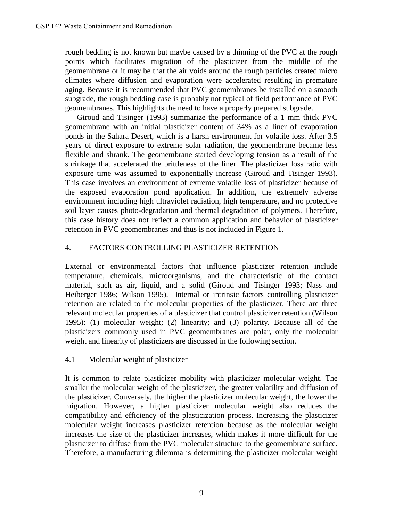rough bedding is not known but maybe caused by a thinning of the PVC at the rough points which facilitates migration of the plasticizer from the middle of the geomembrane or it may be that the air voids around the rough particles created micro climates where diffusion and evaporation were accelerated resulting in premature aging. Because it is recommended that PVC geomembranes be installed on a smooth subgrade, the rough bedding case is probably not typical of field performance of PVC geomembranes. This highlights the need to have a properly prepared subgrade.

Giroud and Tisinger (1993) summarize the performance of a 1 mm thick PVC geomembrane with an initial plasticizer content of 34% as a liner of evaporation ponds in the Sahara Desert, which is a harsh environment for volatile loss. After 3.5 years of direct exposure to extreme solar radiation, the geomembrane became less flexible and shrank. The geomembrane started developing tension as a result of the shrinkage that accelerated the brittleness of the liner. The plasticizer loss ratio with exposure time was assumed to exponentially increase (Giroud and Tisinger 1993). This case involves an environment of extreme volatile loss of plasticizer because of the exposed evaporation pond application. In addition, the extremely adverse environment including high ultraviolet radiation, high temperature, and no protective soil layer causes photo-degradation and thermal degradation of polymers. Therefore, this case history does not reflect a common application and behavior of plasticizer retention in PVC geomembranes and thus is not included in Figure 1.

## 4. FACTORS CONTROLLING PLASTICIZER RETENTION

External or environmental factors that influence plasticizer retention include temperature, chemicals, microorganisms, and the characteristic of the contact material, such as air, liquid, and a solid (Giroud and Tisinger 1993; Nass and Heiberger 1986; Wilson 1995). Internal or intrinsic factors controlling plasticizer retention are related to the molecular properties of the plasticizer. There are three relevant molecular properties of a plasticizer that control plasticizer retention (Wilson 1995): (1) molecular weight; (2) linearity; and (3) polarity. Because all of the plasticizers commonly used in PVC geomembranes are polar, only the molecular weight and linearity of plasticizers are discussed in the following section.

## 4.1 Molecular weight of plasticizer

It is common to relate plasticizer mobility with plasticizer molecular weight. The smaller the molecular weight of the plasticizer, the greater volatility and diffusion of the plasticizer. Conversely, the higher the plasticizer molecular weight, the lower the migration. However, a higher plasticizer molecular weight also reduces the compatibility and efficiency of the plasticization process. Increasing the plasticizer molecular weight increases plasticizer retention because as the molecular weight increases the size of the plasticizer increases, which makes it more difficult for the plasticizer to diffuse from the PVC molecular structure to the geomembrane surface. Therefore, a manufacturing dilemma is determining the plasticizer molecular weight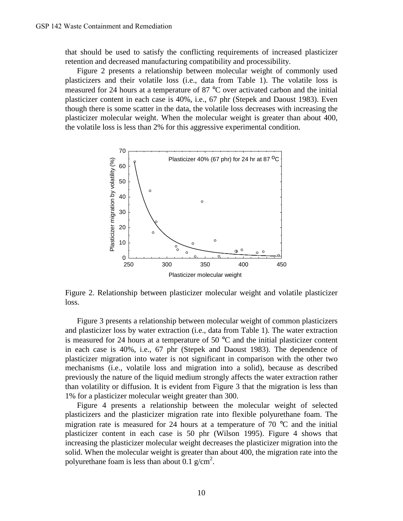that should be used to satisfy the conflicting requirements of increased plasticizer retention and decreased manufacturing compatibility and processibility.

Figure 2 presents a relationship between molecular weight of commonly used plasticizers and their volatile loss (i.e., data from Table 1). The volatile loss is measured for 24 hours at a temperature of 87 °C over activated carbon and the initial plasticizer content in each case is 40%, i.e., 67 phr (Stepek and Daoust 1983). Even though there is some scatter in the data, the volatile loss decreases with increasing the plasticizer molecular weight. When the molecular weight is greater than about 400, the volatile loss is less than 2% for this aggressive experimental condition.



Figure 2. Relationship between plasticizer molecular weight and volatile plasticizer loss.

Figure 3 presents a relationship between molecular weight of common plasticizers and plasticizer loss by water extraction (i.e., data from Table 1). The water extraction is measured for 24 hours at a temperature of 50 °C and the initial plasticizer content in each case is 40%, i.e., 67 phr (Stepek and Daoust 1983). The dependence of plasticizer migration into water is not significant in comparison with the other two mechanisms (i.e., volatile loss and migration into a solid), because as described previously the nature of the liquid medium strongly affects the water extraction rather than volatility or diffusion. It is evident from Figure 3 that the migration is less than 1% for a plasticizer molecular weight greater than 300.

Figure 4 presents a relationship between the molecular weight of selected plasticizers and the plasticizer migration rate into flexible polyurethane foam. The migration rate is measured for 24 hours at a temperature of 70 °C and the initial plasticizer content in each case is 50 phr (Wilson 1995). Figure 4 shows that increasing the plasticizer molecular weight decreases the plasticizer migration into the solid. When the molecular weight is greater than about 400, the migration rate into the polyurethane foam is less than about 0.1  $g/cm^2$ .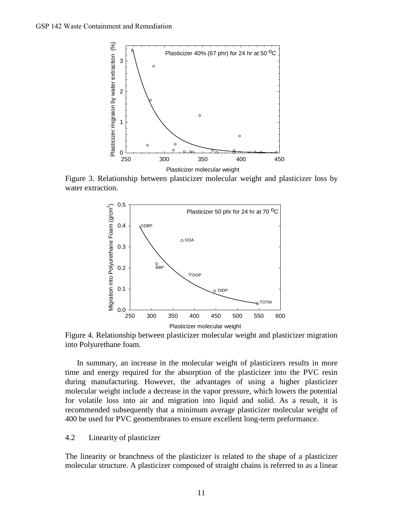

Figure 3. Relationship between plasticizer molecular weight and plasticizer loss by water extraction.



Figure 4. Relationship between plasticizer molecular weight and plasticizer migration into Polyurethane foam.

In summary, an increase in the molecular weight of plasticizers results in more time and energy required for the absorption of the plasticizer into the PVC resin during manufacturing. However, the advantages of using a higher plasticizer molecular weight include a decrease in the vapor pressure, which lowers the potential for volatile loss into air and migration into liquid and solid. As a result, it is recommended subsequently that a minimum average plasticizer molecular weight of 400 be used for PVC geomembranes to ensure excellent long-term preformance.

#### 4.2 Linearity of plasticizer

The linearity or branchness of the plasticizer is related to the shape of a plasticizer molecular structure. A plasticizer composed of straight chains is referred to as a linear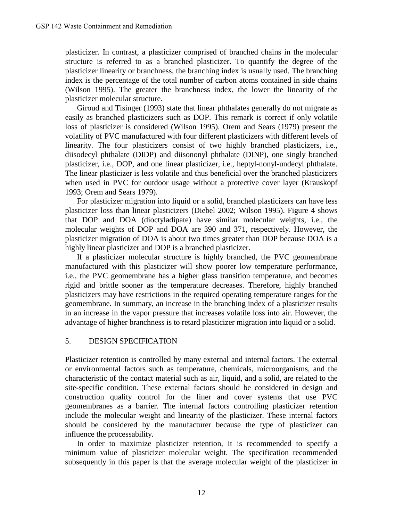plasticizer. In contrast, a plasticizer comprised of branched chains in the molecular structure is referred to as a branched plasticizer. To quantify the degree of the plasticizer linearity or branchness, the branching index is usually used. The branching index is the percentage of the total number of carbon atoms contained in side chains (Wilson 1995). The greater the branchness index, the lower the linearity of the plasticizer molecular structure.

Giroud and Tisinger (1993) state that linear phthalates generally do not migrate as easily as branched plasticizers such as DOP. This remark is correct if only volatile loss of plasticizer is considered (Wilson 1995). Orem and Sears (1979) present the volatility of PVC manufactured with four different plasticizers with different levels of linearity. The four plasticizers consist of two highly branched plasticizers, i.e., diisodecyl phthalate (DIDP) and diisononyl phthalate (DINP), one singly branched plasticizer, i.e., DOP, and one linear plasticizer, i.e., heptyl-nonyl-undecyl phthalate. The linear plasticizer is less volatile and thus beneficial over the branched plasticizers when used in PVC for outdoor usage without a protective cover layer (Krauskopf 1993; Orem and Sears 1979).

For plasticizer migration into liquid or a solid, branched plasticizers can have less plasticizer loss than linear plasticizers (Diebel 2002; Wilson 1995). Figure 4 shows that DOP and DOA (dioctyladipate) have similar molecular weights, i.e., the molecular weights of DOP and DOA are 390 and 371, respectively. However, the plasticizer migration of DOA is about two times greater than DOP because DOA is a highly linear plasticizer and DOP is a branched plasticizer.

If a plasticizer molecular structure is highly branched, the PVC geomembrane manufactured with this plasticizer will show poorer low temperature performance, i.e., the PVC geomembrane has a higher glass transition temperature, and becomes rigid and brittle sooner as the temperature decreases. Therefore, highly branched plasticizers may have restrictions in the required operating temperature ranges for the geomembrane. In summary, an increase in the branching index of a plasticizer results in an increase in the vapor pressure that increases volatile loss into air. However, the advantage of higher branchness is to retard plasticizer migration into liquid or a solid.

## 5. DESIGN SPECIFICATION

Plasticizer retention is controlled by many external and internal factors. The external or environmental factors such as temperature, chemicals, microorganisms, and the characteristic of the contact material such as air, liquid, and a solid, are related to the site-specific condition. These external factors should be considered in design and construction quality control for the liner and cover systems that use PVC geomembranes as a barrier. The internal factors controlling plasticizer retention include the molecular weight and linearity of the plasticizer. These internal factors should be considered by the manufacturer because the type of plasticizer can influence the processability.

In order to maximize plasticizer retention, it is recommended to specify a minimum value of plasticizer molecular weight. The specification recommended subsequently in this paper is that the average molecular weight of the plasticizer in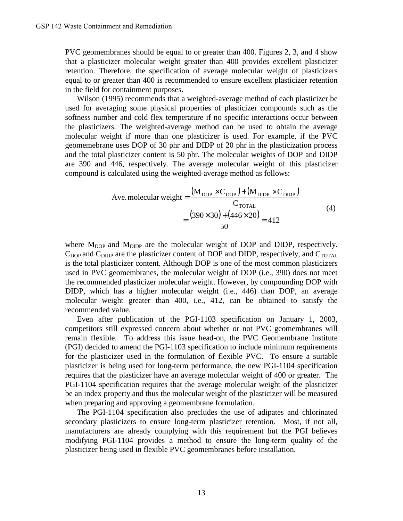PVC geomembranes should be equal to or greater than 400. Figures 2, 3, and 4 show that a plasticizer molecular weight greater than 400 provides excellent plasticizer retention. Therefore, the specification of average molecular weight of plasticizers equal to or greater than 400 is recommended to ensure excellent plasticizer retention in the field for containment purposes.

Wilson (1995) recommends that a weighted-average method of each plasticizer be used for averaging some physical properties of plasticizer compounds such as the softness number and cold flex temperature if no specific interactions occur between the plasticizers. The weighted-average method can be used to obtain the average molecular weight if more than one plasticizer is used. For example, if the PVC geomemebrane uses DOP of 30 phr and DIDP of 20 phr in the plasticization process and the total plasticizer content is 50 phr. The molecular weights of DOP and DIDP are 390 and 446, respectively. The average molecular weight of this plasticizer compound is calculated using the weighted-average method as follows:

$$
\text{Ave.molecular weight} = \frac{(M_{\text{DOP}} \times C_{\text{DOP}}) + (M_{\text{DIDP}} \times C_{\text{DIDP}})}{C_{\text{TOTAL}}}
$$
  
= 
$$
\frac{(390 \times 30) + (446 \times 20)}{50} = 412
$$
 (4)

where  $M_{\text{DOP}}$  and  $M_{\text{DIDP}}$  are the molecular weight of DOP and DIDP, respectively.  $C_{\text{DOP}}$  and  $C_{\text{DIDP}}$  are the plasticizer content of DOP and DIDP, respectively, and  $C_{\text{TOTAL}}$ is the total plasticizer content. Although DOP is one of the most common plasticizers used in PVC geomembranes, the molecular weight of DOP (i.e., 390) does not meet the recommended plasticizer molecular weight. However, by compounding DOP with DIDP, which has a higher molecular weight (i.e., 446) than DOP, an average molecular weight greater than 400, i.e., 412, can be obtained to satisfy the recommended value.

Even after publication of the PGI-1103 specification on January 1, 2003, competitors still expressed concern about whether or not PVC geomembranes will remain flexible. To address this issue head-on, the PVC Geomembrane Institute (PGI) decided to amend the PGI-1103 specification to include minimum requirements for the plasticizer used in the formulation of flexible PVC. To ensure a suitable plasticizer is being used for long-term performance, the new PGI-1104 specification requires that the plasticizer have an average molecular weight of 400 or greater. The PGI-1104 specification requires that the average molecular weight of the plasticizer be an index property and thus the molecular weight of the plasticizer will be measured when preparing and approving a geomembrane formulation.

The PGI-1104 specification also precludes the use of adipates and chlorinated secondary plasticizers to ensure long-term plasticizer retention. Most, if not all, manufacturers are already complying with this requirement but the PGI believes modifying PGI-1104 provides a method to ensure the long-term quality of the plasticizer being used in flexible PVC geomembranes before installation.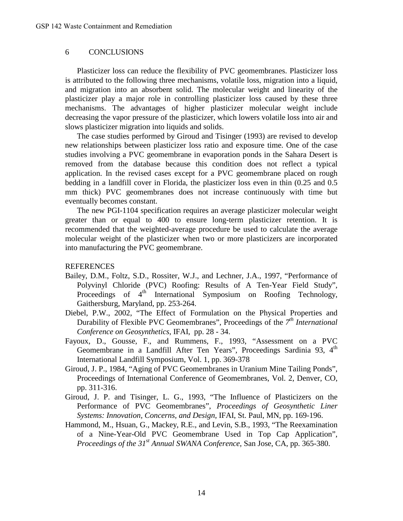### 6 CONCLUSIONS

Plasticizer loss can reduce the flexibility of PVC geomembranes. Plasticizer loss is attributed to the following three mechanisms, volatile loss, migration into a liquid, and migration into an absorbent solid. The molecular weight and linearity of the plasticizer play a major role in controlling plasticizer loss caused by these three mechanisms. The advantages of higher plasticizer molecular weight include decreasing the vapor pressure of the plasticizer, which lowers volatile loss into air and slows plasticizer migration into liquids and solids.

The case studies performed by Giroud and Tisinger (1993) are revised to develop new relationships between plasticizer loss ratio and exposure time. One of the case studies involving a PVC geomembrane in evaporation ponds in the Sahara Desert is removed from the database because this condition does not reflect a typical application. In the revised cases except for a PVC geomembrane placed on rough bedding in a landfill cover in Florida, the plasticizer loss even in thin (0.25 and 0.5 mm thick) PVC geomembranes does not increase continuously with time but eventually becomes constant.

The new PGI-1104 specification requires an average plasticizer molecular weight greater than or equal to 400 to ensure long-term plasticizer retention. It is recommended that the weighted-average procedure be used to calculate the average molecular weight of the plasticizer when two or more plasticizers are incorporated into manufacturing the PVC geomembrane.

### **REFERENCES**

- Bailey, D.M., Foltz, S.D., Rossiter, W.J., and Lechner, J.A., 1997, "Performance of Polyvinyl Chloride (PVC) Roofing: Results of A Ten-Year Field Study", Proceedings of  $4<sup>th</sup>$  International Symposium on Roofing Technology, Gaithersburg, Maryland, pp. 253-264.
- Diebel, P.W., 2002, "The Effect of Formulation on the Physical Properties and Durability of Flexible PVC Geomembranes", Proceedings of the *7th International Conference on Geosynthetics*, IFAI, pp. 28 - 34.
- Fayoux, D., Gousse, F., and Rummens, F., 1993, "Assessment on a PVC Geomembrane in a Landfill After Ten Years", Proceedings Sardinia 93, 4<sup>th</sup> International Landfill Symposium, Vol. 1, pp. 369-378
- Giroud, J. P., 1984, "Aging of PVC Geomembranes in Uranium Mine Tailing Ponds", Proceedings of International Conference of Geomembranes, Vol. 2, Denver, CO, pp. 311-316.
- Giroud, J. P. and Tisinger, L. G., 1993, "The Influence of Plasticizers on the Performance of PVC Geomembranes", *Proceedings of Geosynthetic Liner Systems: Innovation, Concerns, and Design*, IFAI, St. Paul, MN, pp. 169-196.
- Hammond, M., Hsuan, G., Mackey, R.E., and Levin, S.B., 1993, "The Reexamination of a Nine-Year-Old PVC Geomembrane Used in Top Cap Application", *Proceedings of the 31st Annual SWANA Conference*, San Jose, CA, pp. 365-380.